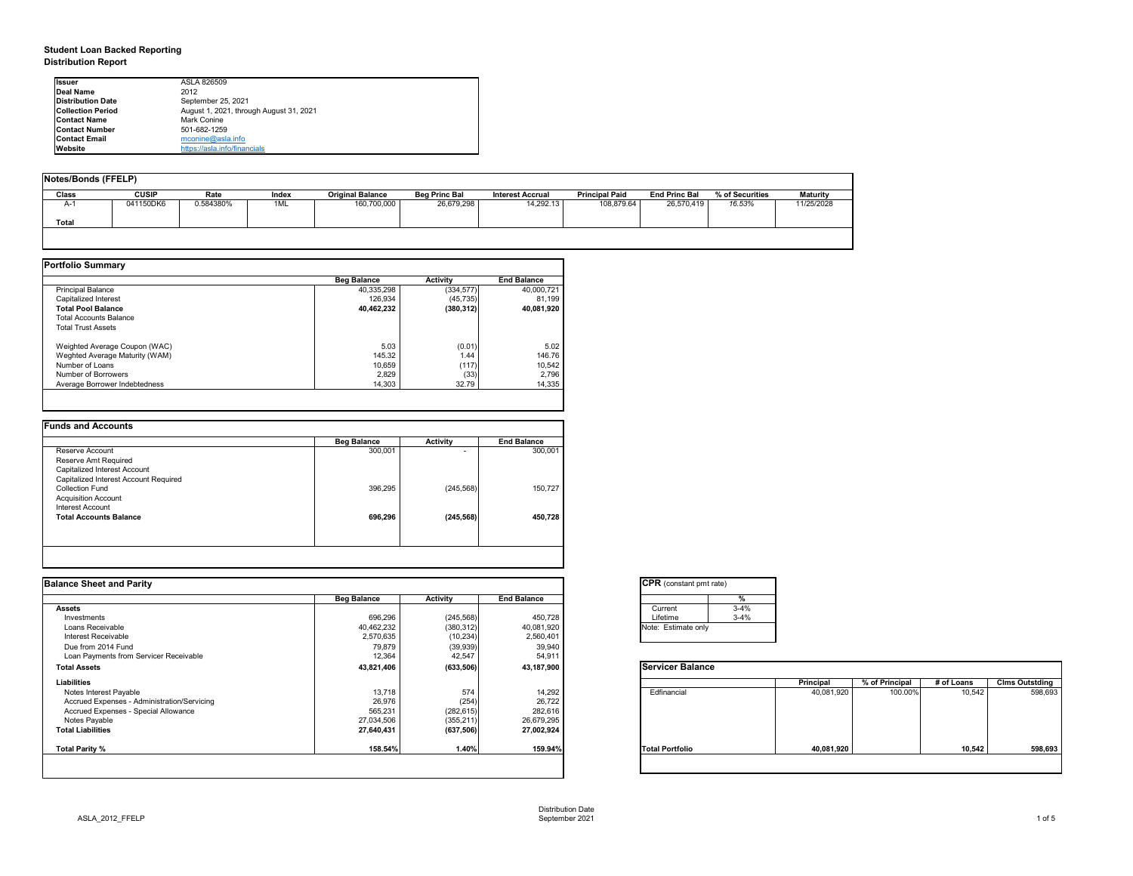### **Student Loan Backed Reporting**

**Distribution Report**

| <b>Issuer</b>            | ASLA 826509                             |
|--------------------------|-----------------------------------------|
| Deal Name                | 2012                                    |
| <b>Distribution Date</b> | September 25, 2021                      |
| <b>Collection Period</b> | August 1, 2021, through August 31, 2021 |
| <b>Contact Name</b>      | Mark Conine                             |
| <b>Contact Number</b>    | 501-682-1259                            |
| <b>Contact Email</b>     | mconine@asla.info                       |
| Website                  | https://asla.info/financials            |

| Notes/Bonds (FFELP) |              |           |       |                         |                      |                         |                       |                      |                 |                 |
|---------------------|--------------|-----------|-------|-------------------------|----------------------|-------------------------|-----------------------|----------------------|-----------------|-----------------|
| Class               | <b>CUSIP</b> | Rate      | Index | <b>Original Balance</b> | <b>Beg Princ Bal</b> | <b>Interest Accrual</b> | <b>Principal Paid</b> | <b>End Princ Bal</b> | % of Securities | <b>Maturity</b> |
| A-1                 | 041150DK6    | 0.584380% | 1ML   | 160,700,000             | 26,679,298           | 14,292.13               | 108,879.64            | 26,570,419           | 16.53%          | 11/25/2028      |
| Total               |              |           |       |                         |                      |                         |                       |                      |                 |                 |
|                     |              |           |       |                         |                      |                         |                       |                      |                 |                 |

|                                | <b>Beg Balance</b> | Activity   | <b>End Balance</b> |  |
|--------------------------------|--------------------|------------|--------------------|--|
| <b>Principal Balance</b>       | 40,335,298         | (334, 577) | 40.000.721         |  |
| Capitalized Interest           | 126.934            | (45, 735)  | 81.199             |  |
| <b>Total Pool Balance</b>      | 40,462,232         | (380, 312) | 40,081,920         |  |
| <b>Total Accounts Balance</b>  |                    |            |                    |  |
| <b>Total Trust Assets</b>      |                    |            |                    |  |
| Weighted Average Coupon (WAC)  | 5.03               | (0.01)     | 5.02               |  |
| Weghted Average Maturity (WAM) | 145.32             | 1.44       | 146.76             |  |
| Number of Loans                | 10.659             | (117)      | 10.542             |  |
| Number of Borrowers            | 2,829              | (33)       | 2.796              |  |
| Average Borrower Indebtedness  | 14.303             | 32.79      | 14,335             |  |

|                                       | <b>Beg Balance</b> | Activity   | <b>End Balance</b> |
|---------------------------------------|--------------------|------------|--------------------|
| Reserve Account                       | 300,001            |            | 300,001            |
| Reserve Amt Required                  |                    |            |                    |
| Capitalized Interest Account          |                    |            |                    |
| Capitalized Interest Account Required |                    |            |                    |
| Collection Fund                       | 396.295            | (245, 568) | 150.727            |
| <b>Acquisition Account</b>            |                    |            |                    |
| <b>Interest Account</b>               |                    |            |                    |
| <b>Total Accounts Balance</b>         | 696,296            | (245, 568) | 450,728            |
|                                       |                    |            |                    |
|                                       |                    |            |                    |

| <b>Balance Sheet and Parity</b>             |                    |            |                    | <b>CPR</b> (constant pmt rate) |            |                |            |                       |
|---------------------------------------------|--------------------|------------|--------------------|--------------------------------|------------|----------------|------------|-----------------------|
|                                             | <b>Beg Balance</b> | Activity   | <b>End Balance</b> |                                |            |                |            |                       |
| <b>Assets</b>                               |                    |            |                    | $3 - 4%$<br>Current            |            |                |            |                       |
| Investments                                 | 696,296            | (245, 568) | 450,728            | $3 - 4%$<br>Lifetime           |            |                |            |                       |
| Loans Receivable                            | 40,462,232         | (380, 312) | 40,081,920         | Note: Estimate only            |            |                |            |                       |
| Interest Receivable                         | 2,570,635          | (10, 234)  | 2,560,401          |                                |            |                |            |                       |
| Due from 2014 Fund                          | 79,879             | (39, 939)  | 39,940             |                                |            |                |            |                       |
| Loan Payments from Servicer Receivable      | 12,364             | 42,547     | 54,911             |                                |            |                |            |                       |
| <b>Total Assets</b>                         | 43,821,406         | (633, 506) | 43,187,900         | <b>Servicer Balance</b>        |            |                |            |                       |
| Liabilities                                 |                    |            |                    |                                | Principal  | % of Principal | # of Loans | <b>Clms Outstding</b> |
| Notes Interest Payable                      | 13,718             | 574        | 14,292             | Edfinancial                    | 40,081,920 | 100.00%        | 10,542     | 598,693               |
| Accrued Expenses - Administration/Servicing | 26,976             | (254)      | 26,722             |                                |            |                |            |                       |
| Accrued Expenses - Special Allowance        | 565,231            | (282, 615) | 282,616            |                                |            |                |            |                       |
| Notes Payable                               | 27,034,506         | (355, 211) | 26,679,295         |                                |            |                |            |                       |
| <b>Total Liabilities</b>                    | 27,640,431         | (637, 506) | 27,002,924         |                                |            |                |            |                       |
| Total Parity %                              | 158.54%            | 1.40%      | 159.94%            | <b>Total Portfolio</b>         | 40,081,920 |                | 10,542     | 598,693               |
|                                             |                    |            |                    |                                |            |                |            |                       |
|                                             |                    |            |                    |                                |            |                |            |                       |

| Current  | $3 - 4%$ |
|----------|----------|
| Lifetime | $3 - 4%$ |

|                        | Principal  | % of Principal | # of Loans | <b>Clms Outstding</b> |
|------------------------|------------|----------------|------------|-----------------------|
| Edfinancial            | 40,081,920 | 100.00%        | 10,542     | 598,693               |
| <b>Total Portfolio</b> | 40,081,920 |                | 10,542     | 598,693               |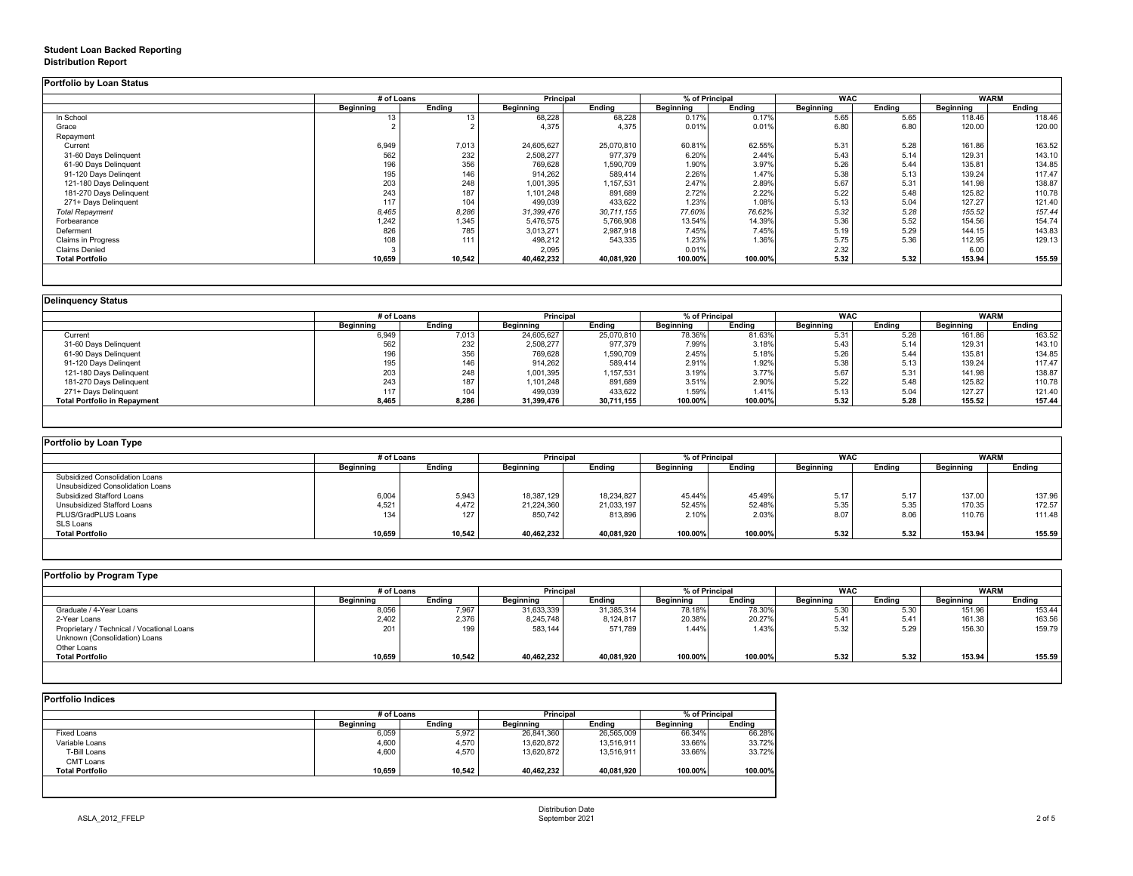## **Student Loan Backed Reporting**

#### **Distribution Report**

**Portfolio by Loan Status**

|                           | # of Loans |        | Principal  |            | % of Principal |         | <b>WAC</b> |        | <b>WARM</b> |        |
|---------------------------|------------|--------|------------|------------|----------------|---------|------------|--------|-------------|--------|
|                           | Beginning  | Ending | Beginning  | Ending     | Beginning      | Ending  | Beginning  | Ending | Beginning   | Ending |
| In School                 | 13         | 13     | 68,228     | 68,228     | 0.17%          | 0.17%   | 5.65       | 5.65   | 118.46      | 118.46 |
| Grace                     |            |        | 4,375      | 4.375      | 0.01%          | 0.01%   | 6.80       | 6.80   | 120.00      | 120.00 |
| Repayment                 |            |        |            |            |                |         |            |        |             |        |
| Current                   | 6,949      | 7,013  | 24,605,627 | 25,070,810 | 60.81%         | 62.55%  | 5.31       | 5.28   | 161.86      | 163.52 |
| 31-60 Days Delinquent     | 562        | 232    | 2,508,277  | 977,379    | 6.20%          | 2.44%   | 5.43       | 5.14   | 129.31      | 143.10 |
| 61-90 Days Delinquent     | 196        | 356    | 769,628    | .590,709   | 1.90%          | 3.97%   | 5.26       | 5.44   | 135.81      | 134.85 |
| 91-120 Days Delingent     | 195        | 146    | 914,262    | 589,414    | 2.26%          | 1.47%   | 5.38       | 5.13   | 139.24      | 117.47 |
| 121-180 Days Delinguent   | 203        | 248    | 1,001,395  | ,157,531   | 2.47%          | 2.89%   | 5.67       | 5.31   | 141.98      | 138.87 |
| 181-270 Days Delinquent   | 243        | 187    | 1,101,248  | 891,689    | 2.72%          | 2.22%   | 5.22       | 5.48   | 125.82      | 110.78 |
| 271+ Days Delinquent      | 117        | 104    | 499,039    | 433,622    | 1.23%          | 1.08%   | 5.13       | 5.04   | 127.27      | 121.40 |
| <b>Total Repayment</b>    | 8,465      | 8,286  | 31,399,476 | 30,711,155 | 77.60%         | 76.62%  | 5.32       | 5.28   | 155.52      | 157.44 |
| Forbearance               | 1,242      | 1,345  | 5,476,575  | 5,766,908  | 13.54%         | 14.39%  | 5.36       | 5.52   | 154.56      | 154.74 |
| Deferment                 | 826        | 785    | 3,013,271  | 2,987,918  | 7.45%          | 7.45%   | 5.19       | 5.29   | 144.15      | 143.83 |
| <b>Claims in Progress</b> | 108        | 111    | 498,212    | 543,335    | 1.23%          | 1.36%   | 5.75       | 5.36   | 112.95      | 129.13 |
| <b>Claims Denied</b>      |            |        | 2,095      |            | 0.01%          |         | 2.32       |        | 6.00        |        |
| <b>Total Portfolio</b>    | 10,659     | 10,542 | 40,462,232 | 40,081,920 | 100.00%        | 100.00% | 5.32       | 5.32   | 153.94      | 155.59 |

| <b>Delinguency Status</b>           |                  |            |            |                                    |                  |         |           |            |                  |             |
|-------------------------------------|------------------|------------|------------|------------------------------------|------------------|---------|-----------|------------|------------------|-------------|
|                                     |                  | # of Loans |            | % of Principal<br><b>Principal</b> |                  |         |           | <b>WAC</b> |                  | <b>WARM</b> |
|                                     | <b>Beginning</b> | Endina     | Beginning  | Ending                             | <b>Beginning</b> | Ending  | Beginning | Endina     | <b>Beginning</b> | Endina      |
| Current                             | 6.949            | 7,013      | 24,605,627 | 25,070,810                         | 78.36%           | 81.63%  | 5.31      | 5.28       | 161.86           | 163.52      |
| 31-60 Days Delinquent               | 562              | 232        | 2,508,277  | 977,379                            | 7.99%            | 3.18%   | 5.43      | 5.14       | 129.31           | 143.10      |
| 61-90 Days Delinquent               | 196              | 356        | 769,628    | 1,590,709                          | 2.45%            | 5.18%   | 5.26      | 5.44       | 135.81           | 134.85      |
| 91-120 Days Delingent               | 195              | 146        | 914,262    | 589,414                            | 2.91%            | 1.92%   | 5.38      | 5.13       | 139.24           | 117.47      |
| 121-180 Days Delinquent             | 203              | 248        | 1,001,395  | 1,157,531                          | 3.19%            | 3.77%   | 5.67      | 5.31       | 141.98           | 138.87      |
| 181-270 Days Delinquent             | 243              | 187        | 1,101,248  | 891,689                            | 3.51%            | 2.90%   | 5.22      | 5.48       | 125.82           | 110.78      |
| 271+ Days Delinquent                | 117              | 104        | 499,039    | 433,622                            | 1.59%            | 1.41%   | 5.13      | 5.04       | 127.27           | 121.40      |
| <b>Total Portfolio in Repayment</b> | 8,465            | 8,286      | 31,399,476 | 30,711,155                         | 100.00%          | 100.00% | 5.32      | 5.28       | 155.52           | 157.44      |
|                                     |                  |            |            |                                    |                  |         |           |            |                  |             |

| Portfolio by Loan Type           |                  |        |                  |            |                  |         |            |        |             |        |
|----------------------------------|------------------|--------|------------------|------------|------------------|---------|------------|--------|-------------|--------|
|                                  | # of Loans       |        | Principal        |            | % of Principal   |         | <b>WAC</b> |        | <b>WARM</b> |        |
|                                  | <b>Beainning</b> | Endina | <b>Beginning</b> | Endina     | <b>Beainning</b> | Ending  | Beainnina  | Endina | Beginning   | Ending |
| Subsidized Consolidation Loans   |                  |        |                  |            |                  |         |            |        |             |        |
| Unsubsidized Consolidation Loans |                  |        |                  |            |                  |         |            |        |             |        |
| Subsidized Stafford Loans        | 6,004            | 5,943  | 18,387,129       | 18,234,827 | 45.44%           | 45.49%  | 5.17       | 5.17   | 137.00      | 137.96 |
| Unsubsidized Stafford Loans      | 4,521            | 4.472  | 21,224,360       | 21,033,197 | 52.45%           | 52.48%  | 5.35       | 5.35   | 170.35      | 172.57 |
| PLUS/GradPLUS Loans              | 134              | 127    | 850.742          | 813.896    | 2.10%            | 2.03%   | 8.07       | 8.06   | 110.76      | 111.48 |
| SLS Loans                        |                  |        |                  |            |                  |         |            |        |             |        |
| <b>Total Portfolio</b>           | 10,659           | 10,542 | 40,462,232       | 40,081,920 | 100.00%          | 100.00% | 5.32       | 5.32   | 153.94      | 155.59 |

| Portfolio by Program Type                  |                  |            |                  |            |           |                |                  |            |           |             |  |
|--------------------------------------------|------------------|------------|------------------|------------|-----------|----------------|------------------|------------|-----------|-------------|--|
|                                            |                  | # of Loans |                  | Principal  |           | % of Principal |                  | <b>WAC</b> |           | <b>WARM</b> |  |
|                                            | <b>Beginning</b> | Ending     | <b>Beginning</b> | Endina     | Beginning | Endina         | <b>Beainning</b> | Endina     | Beginning | Ending      |  |
| Graduate / 4-Year Loans                    | 8,056            | 7,967      | 31,633,339       | 31,385,314 | 78.18%    | 78.30%         | 5.30             | 5.3C       | 151.96    | 153.44      |  |
| 2-Year Loans                               | 2.402            | 2,376      | 8,245,748        | 8,124,817  | 20.38%    | 20.27%         | 5.41             | 5.41       | 161.38    | 163.56      |  |
| Proprietary / Technical / Vocational Loans | 201              | 199        | 583.144          | 571,789    | 1.44%     | 1.43%          | 5.32             | 5.29       | 156.30    | 159.79      |  |
| Unknown (Consolidation) Loans              |                  |            |                  |            |           |                |                  |            |           |             |  |
| Other Loans                                |                  |            |                  |            |           |                |                  |            |           |             |  |
| <b>Total Portfolio</b>                     | 10,659           | 10,542     | 40,462,232       | 40,081,920 | 100.00%   | 100.00%        | 5.32             | 5.32       | 153.94    | 155.59      |  |
|                                            |                  |            |                  |            |           |                |                  |            |           |             |  |

| <b>Portfolio Indices</b> |            |        |                  |            |                |         |  |  |  |  |  |
|--------------------------|------------|--------|------------------|------------|----------------|---------|--|--|--|--|--|
|                          | # of Loans |        | <b>Principal</b> |            | % of Principal |         |  |  |  |  |  |
|                          | Beainnina  | Endina | Beginning        | Endina     | Beginning      | Ending  |  |  |  |  |  |
| <b>Fixed Loans</b>       | 6,059      | 5,972  | 26,841,360       | 26,565,009 | 66.34%         | 66.28%  |  |  |  |  |  |
| Variable Loans           | 4,600      | 4,570  | 13,620,872       | 13.516.911 | 33.66%         | 33.72%  |  |  |  |  |  |
| T-Bill Loans             | 4,600      | 4,570  | 13,620,872       | 13,516,911 | 33.66%         | 33.72%  |  |  |  |  |  |
| CMT Loans                |            |        |                  |            |                |         |  |  |  |  |  |
| <b>Total Portfolio</b>   | 10,659     | 10,542 | 40,462,232       | 40,081,920 | 100.00%        | 100.00% |  |  |  |  |  |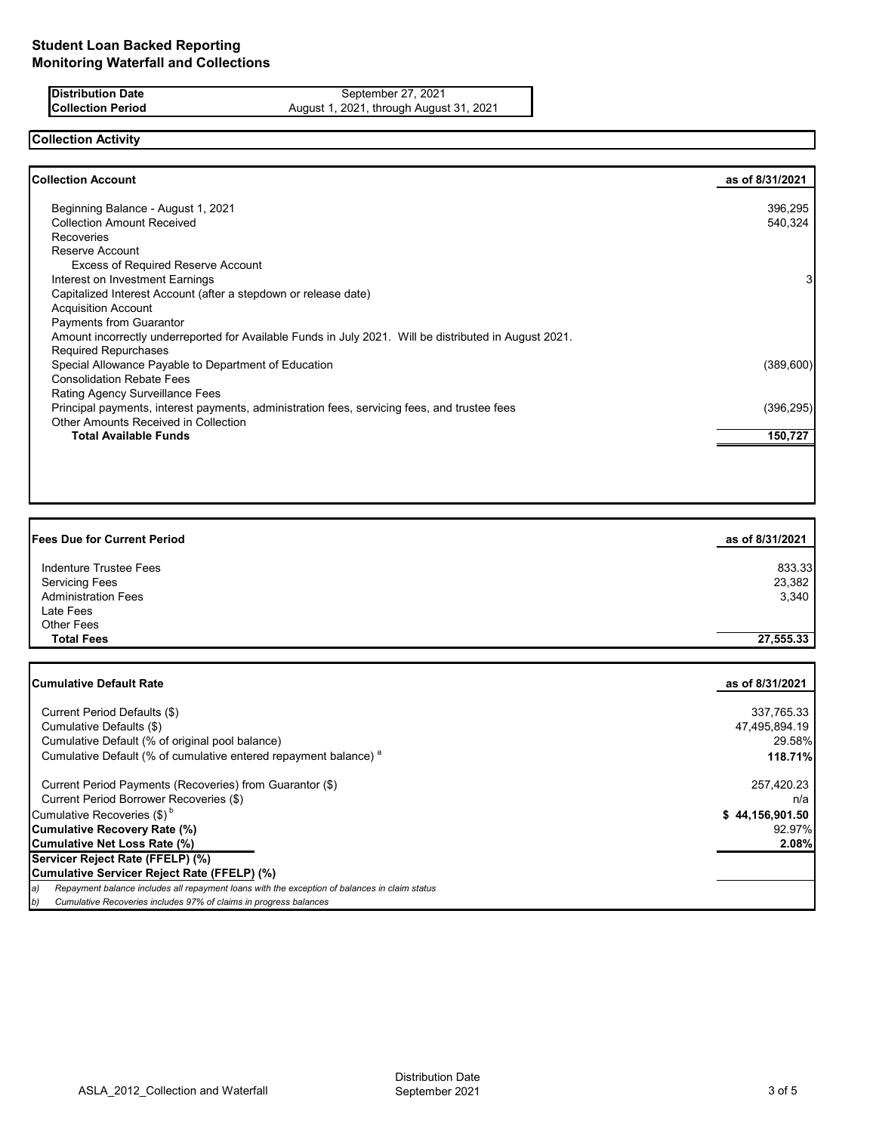### **Distribution Date** September 27, 2021<br>**Collection Period** August 1, 2021, through August **Collection Period** August 1, 2021, through August 31, 2021

# **Collection Activity**

| <b>Collection Account</b>                                                                              | as of 8/31/2021 |
|--------------------------------------------------------------------------------------------------------|-----------------|
| Beginning Balance - August 1, 2021                                                                     | 396,295         |
| <b>Collection Amount Received</b>                                                                      | 540,324         |
| Recoveries                                                                                             |                 |
| Reserve Account                                                                                        |                 |
| <b>Excess of Required Reserve Account</b>                                                              |                 |
| Interest on Investment Earnings                                                                        | 3               |
| Capitalized Interest Account (after a stepdown or release date)                                        |                 |
| <b>Acquisition Account</b>                                                                             |                 |
| <b>Payments from Guarantor</b>                                                                         |                 |
| Amount incorrectly underreported for Available Funds in July 2021. Will be distributed in August 2021. |                 |
| <b>Required Repurchases</b>                                                                            |                 |
| Special Allowance Payable to Department of Education                                                   | (389,600)       |
| <b>Consolidation Rebate Fees</b>                                                                       |                 |
| Rating Agency Surveillance Fees                                                                        |                 |
| Principal payments, interest payments, administration fees, servicing fees, and trustee fees           | (396,295)       |
| Other Amounts Received in Collection                                                                   |                 |
| <b>Total Available Funds</b>                                                                           | 150,727         |

| as of 8/31/2021 |
|-----------------|
| 833.33          |
| 23,382          |
| 3,340           |
|                 |
|                 |
| 27,555.33       |
|                 |

| <b>Cumulative Default Rate</b>                                                                      | as of 8/31/2021 |
|-----------------------------------------------------------------------------------------------------|-----------------|
| Current Period Defaults (\$)                                                                        | 337,765.33      |
| Cumulative Defaults (\$)                                                                            | 47,495,894.19   |
| Cumulative Default (% of original pool balance)                                                     | 29.58%          |
| Cumulative Default (% of cumulative entered repayment balance) <sup>a</sup>                         | 118.71%         |
| Current Period Payments (Recoveries) from Guarantor (\$)                                            | 257,420.23      |
| Current Period Borrower Recoveries (\$)                                                             | n/a             |
| Cumulative Recoveries (\$) <sup>b</sup>                                                             | \$44,156,901.50 |
| Cumulative Recovery Rate (%)                                                                        | 92.97%          |
| Cumulative Net Loss Rate (%)                                                                        | 2.08%           |
| Servicer Reject Rate (FFELP) (%)                                                                    |                 |
| Cumulative Servicer Reject Rate (FFELP) (%)                                                         |                 |
| Repayment balance includes all repayment loans with the exception of balances in claim status<br>a) |                 |
| Cumulative Recoveries includes 97% of claims in progress balances<br>b)                             |                 |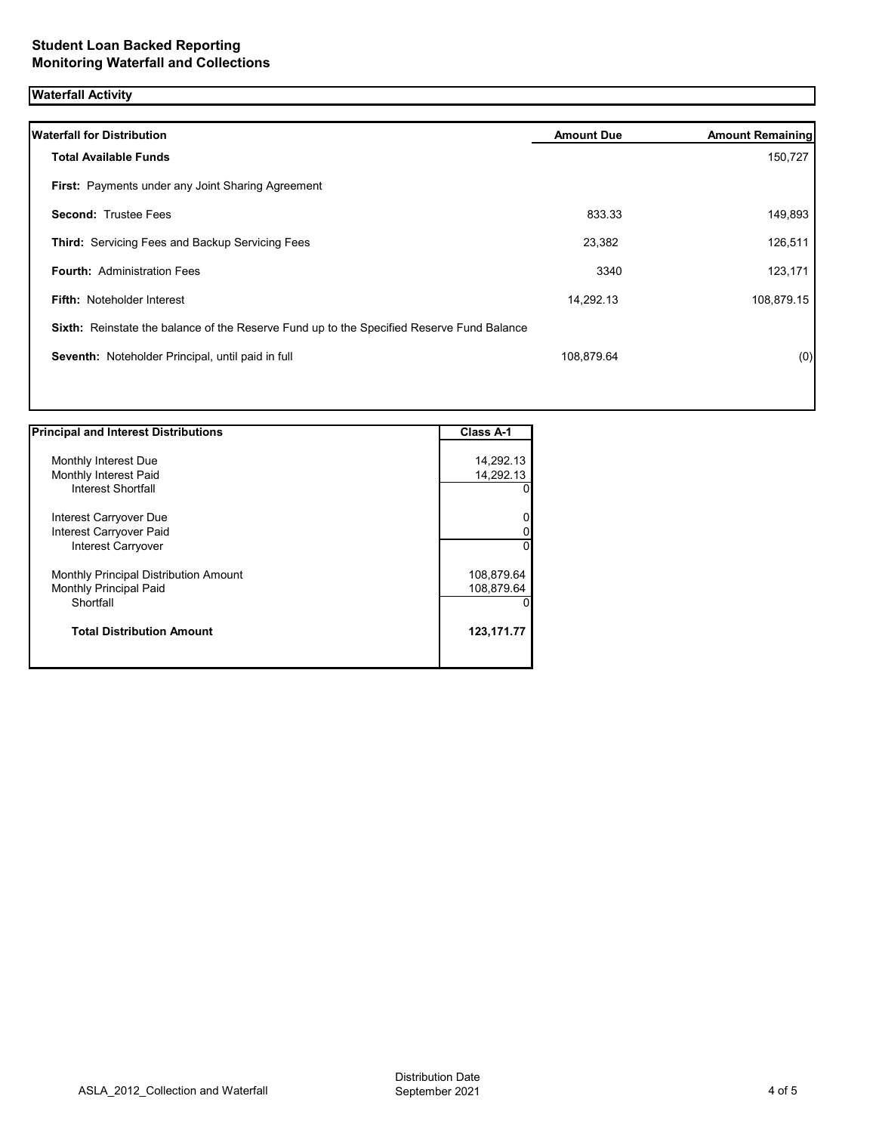# **Waterfall Activity**

| <b>Waterfall for Distribution</b>                                                                | <b>Amount Due</b> | <b>Amount Remaining</b> |
|--------------------------------------------------------------------------------------------------|-------------------|-------------------------|
| <b>Total Available Funds</b>                                                                     |                   | 150,727                 |
| <b>First:</b> Payments under any Joint Sharing Agreement                                         |                   |                         |
| <b>Second: Trustee Fees</b>                                                                      | 833.33            | 149,893                 |
| <b>Third:</b> Servicing Fees and Backup Servicing Fees                                           | 23,382            | 126,511                 |
| <b>Fourth: Administration Fees</b>                                                               | 3340              | 123,171                 |
| <b>Fifth: Noteholder Interest</b>                                                                | 14,292.13         | 108,879.15              |
| <b>Sixth:</b> Reinstate the balance of the Reserve Fund up to the Specified Reserve Fund Balance |                   |                         |
| Seventh: Noteholder Principal, until paid in full                                                | 108,879.64        | (0)                     |
|                                                                                                  |                   |                         |
|                                                                                                  |                   |                         |

| <b>Principal and Interest Distributions</b> | Class A-1  |
|---------------------------------------------|------------|
|                                             |            |
| Monthly Interest Due                        | 14,292.13  |
| Monthly Interest Paid                       | 14,292.13  |
| Interest Shortfall                          | 0          |
| Interest Carryover Due                      | 0          |
| Interest Carryover Paid                     | 0          |
| <b>Interest Carryover</b>                   | 0          |
| Monthly Principal Distribution Amount       | 108,879.64 |
| Monthly Principal Paid                      | 108,879.64 |
| Shortfall                                   | 0          |
| <b>Total Distribution Amount</b>            | 123,171.77 |
|                                             |            |